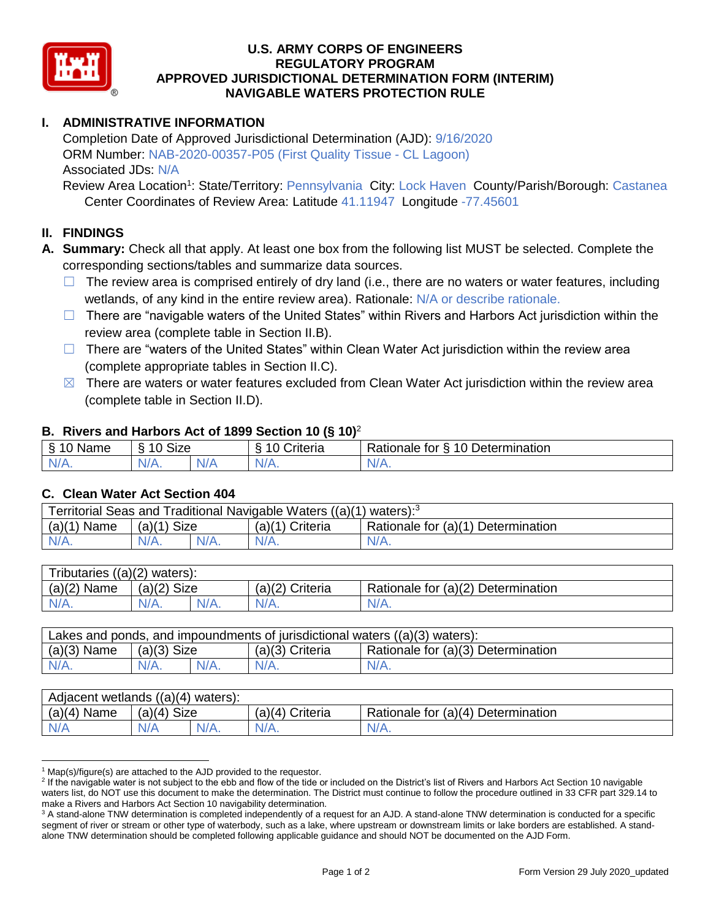

## **U.S. ARMY CORPS OF ENGINEERS REGULATORY PROGRAM APPROVED JURISDICTIONAL DETERMINATION FORM (INTERIM) NAVIGABLE WATERS PROTECTION RULE**

# **I. ADMINISTRATIVE INFORMATION**

Completion Date of Approved Jurisdictional Determination (AJD): 9/16/2020 ORM Number: NAB-2020-00357-P05 (First Quality Tissue - CL Lagoon) Associated JDs: N/A

Review Area Location<sup>1</sup>: State/Territory: Pennsylvania City: Lock Haven County/Parish/Borough: Castanea Center Coordinates of Review Area: Latitude 41.11947 Longitude -77.45601

## **II. FINDINGS**

- **A. Summary:** Check all that apply. At least one box from the following list MUST be selected. Complete the corresponding sections/tables and summarize data sources.
	- $\Box$  The review area is comprised entirely of dry land (i.e., there are no waters or water features, including wetlands, of any kind in the entire review area). Rationale: N/A or describe rationale.
	- $\Box$  There are "navigable waters of the United States" within Rivers and Harbors Act jurisdiction within the review area (complete table in Section II.B).
	- $\Box$  There are "waters of the United States" within Clean Water Act jurisdiction within the review area (complete appropriate tables in Section II.C).
	- $\boxtimes$  There are waters or water features excluded from Clean Water Act jurisdiction within the review area (complete table in Section II.D).

#### **B. Rivers and Harbors Act of 1899 Section 10 (§ 10)**<sup>2</sup>

| . .                      |                      |           |                                     |                                           |  |
|--------------------------|----------------------|-----------|-------------------------------------|-------------------------------------------|--|
| $\sim$<br>ame<br>``<br>÷ | $\sim$<br>10<br>oize |           | $\mathbf{r}$<br>10<br>-<br>;riteria | 10 Determination<br>-<br>tor<br>Rationale |  |
| $N/A$ .                  | -<br>11 I V.         | ALI.<br>. | $N/A$ .                             | N/A.                                      |  |

#### **C. Clean Water Act Section 404**

| Territorial Seas and Traditional Navigable Waters $((a)(1)$ waters): <sup>3</sup> |                |  |                 |                                    |  |
|-----------------------------------------------------------------------------------|----------------|--|-----------------|------------------------------------|--|
| (a)(1)<br>Name                                                                    | Size<br>(a)(1) |  | (a)(1) Criteria | Rationale for (a)(1) Determination |  |
|                                                                                   | $N/A$ .        |  | $N/A$ .         | $N/A$ .                            |  |

| Tributaries $((a)(2)$ waters): |                |      |                 |                                    |  |  |
|--------------------------------|----------------|------|-----------------|------------------------------------|--|--|
| $(a)(2)$ Name                  | Size<br>(a)(2) |      | (a)(2) Criteria | Rationale for (a)(2) Determination |  |  |
| $N/A$ .                        | $N/A$ .        | N/A. | $N/A$ .         | N/A.                               |  |  |

| Lakes and ponds, and impoundments of jurisdictional waters ((a)(3) waters): |               |  |                 |                                    |  |
|-----------------------------------------------------------------------------|---------------|--|-----------------|------------------------------------|--|
| $(a)(3)$ Name                                                               | $(a)(3)$ Size |  | (a)(3) Criteria | Rationale for (a)(3) Determination |  |
| $N/A$ .                                                                     | N/A.          |  | $N/A$ .         | $N/A$ .                            |  |

| Adjacent wetlands $((a)(4)$ waters): |                       |         |                    |                                    |  |  |
|--------------------------------------|-----------------------|---------|--------------------|------------------------------------|--|--|
| (a)(4)<br>Name                       | <b>Size</b><br>(a)(4) |         | Criteria<br>(a)(4) | Rationale for (a)(4) Determination |  |  |
| N/A                                  | N/A                   | $N/A$ . | $N/A$ .            | $N/A$ .                            |  |  |

<sup>&</sup>lt;sup>1</sup> Map(s)/figure(s) are attached to the AJD provided to the requestor.

<sup>&</sup>lt;sup>2</sup> If the navigable water is not subject to the ebb and flow of the tide or included on the District's list of Rivers and Harbors Act Section 10 navigable waters list, do NOT use this document to make the determination. The District must continue to follow the procedure outlined in 33 CFR part 329.14 to make a Rivers and Harbors Act Section 10 navigability determination.

<sup>&</sup>lt;sup>3</sup> A stand-alone TNW determination is completed independently of a request for an AJD. A stand-alone TNW determination is conducted for a specific segment of river or stream or other type of waterbody, such as a lake, where upstream or downstream limits or lake borders are established. A standalone TNW determination should be completed following applicable guidance and should NOT be documented on the AJD Form.